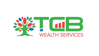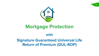

# **Mortgage Protection**

## **with Signature Guaranteed Universal Life Return of Premium (GUL-ROP)**

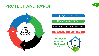## LIFE INSURANCE - LIVING BENEFITS

## **PAYS DOWN or PAY OFF MORTGAGE EARLY**





## SGUL - ROP 20th OR 25th YEAR

## \$250,000 SIGNATURE GUL

# **PROTECT AND PAY-OFF**  $^{02}$





\$250,000 MORTGAGE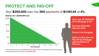# PROTECT AND PAY-OFF OB Your **\$250,000** loan has **360** payments of **\$1,193.64** at **4%.**

**Male, Age 40, \$250,000 30 Yr Mortgage @ 4%** 

**Option to Pay-down or Pay-off the Mortgage with the Return of Premium**





**Purchase \$250,000 Signature GUL** 

**Protects the Mortgage** 

## **Balance for a \$250,000 loan**

If you make all of your payments on this loan and do not prepay any of the principal, the total interest for the loan is **\$179,672.98.**





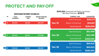## **\$250,000** Universal Life Policy Summary **MORTGAGE PAYMENT SCHEDULE** Monthly Premium \$218.74





# **PROTECT AND PAY-OFF**  $^{04}$

| <b>GUARANTEED</b> | <b>SUMMARY YEAR</b>      |                | <b>ENDING PRINCIPAL</b><br><b>BALANCE</b> | <b>INTEREST</b><br><b>PAID</b> | <b>TOTAL</b><br><b>PAYMENTS</b> | <b>YR</b>         |
|-------------------|--------------------------|----------------|-------------------------------------------|--------------------------------|---------------------------------|-------------------|
| \$39,373          | <b>Total Premiums</b>    |                |                                           |                                |                                 |                   |
| \$19,687          | <b>Return of Premium</b> | <b>Year 15</b> | \$161,357                                 | \$9,920                        | \$14,322                        | <b>15</b>         |
| \$250,000         | <b>Death Benefit</b>     |                |                                           |                                |                                 |                   |
| \$52,498          | <b>Total Premiums</b>    |                |                                           |                                |                                 |                   |
| \$52,498          | <b>Return of Premium</b> | <b>Year 20</b> | \$117,885                                 | \$6,622                        | \$14,322                        | 28                |
| \$250,000         | <b>Death Benefit</b>     |                |                                           |                                |                                 |                   |
| \$65,622          | <b>Total Premiums</b>    |                |                                           |                                |                                 |                   |
| \$65,622          | <b>Return of Premium</b> | <b>Year 25</b> | \$64,807                                  | \$2,843                        | \$14,322                        | $\overline{2}$ 25 |
| \$250,000         | <b>Death Benefit</b>     |                |                                           |                                |                                 |                   |









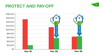# **PROTECT AND PAY-OFF**





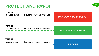# **PROTECT AND PAY-OFF** <sup>06</sup>

YEAR 15





# YEAR 20

**\$64,807** OWED **\$65,622** RETURN OF PREMIUM



## YEAR 25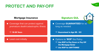# **PROTECT AND PAY-OFF**  $\bullet$  07

## **Mortgage Insurance Signature GUL**

Coverage that can protect against premature death/catastrophic illness

 $\Rightarrow$  10-30 Years

 $\bullet$ 





Coverage **GUARANTEED** for as long as needed

 $\Rightarrow$  Guaranteed to Age 95 - 121

**Least cost initially and the Control of Current Control of Current Control of Current Control of Current Control of Current Control of Current Control of Current Current Control of Current Current Current Current Current** → Use ROP to Pay Down or Pay Off the Mortgage Early!  $\Rightarrow$  Use ROP for ANYTHING!



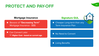# PROTECT AND PAY-OFF OB

## **Mortgage Insurance Signature GUL**

## Living Benefits





## No Need to Convert  $\bullet$

Beware of **"Decreasing Term"**  Mortgage Insurance - \$\$\$

**• Can Convert Later**  $\Rightarrow$  Higher Cost - based on current age





Cheaper Long-term than any Term Insurance Plan